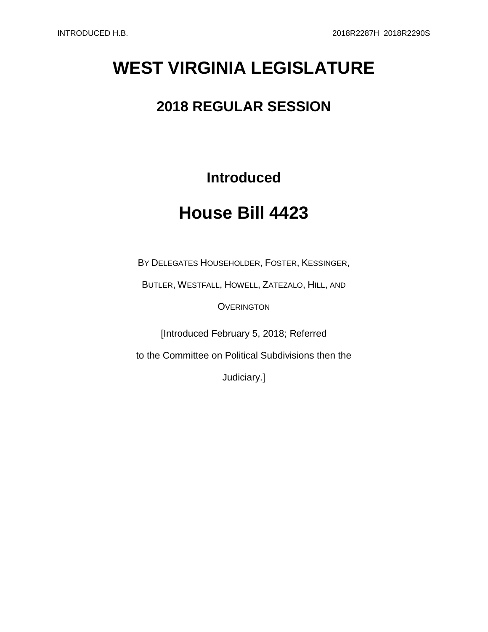# **WEST VIRGINIA LEGISLATURE**

# **2018 REGULAR SESSION**

## **Introduced**

# **House Bill 4423**

BY DELEGATES HOUSEHOLDER, FOSTER, KESSINGER,

BUTLER, WESTFALL, HOWELL, ZATEZALO, HILL, AND

**OVERINGTON** 

[Introduced February 5, 2018; Referred

to the Committee on Political Subdivisions then the

Judiciary.]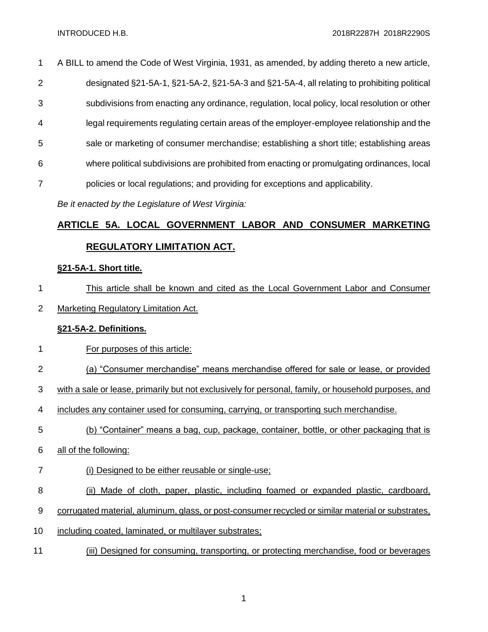A BILL to amend the Code of West Virginia, 1931, as amended, by adding thereto a new article, designated §21-5A-1, §21-5A-2, §21-5A-3 and §21-5A-4, all relating to prohibiting political subdivisions from enacting any ordinance, regulation, local policy, local resolution or other legal requirements regulating certain areas of the employer-employee relationship and the sale or marketing of consumer merchandise; establishing a short title; establishing areas where political subdivisions are prohibited from enacting or promulgating ordinances, local policies or local regulations; and providing for exceptions and applicability.

*Be it enacted by the Legislature of West Virginia:*

## **ARTICLE 5A. LOCAL GOVERNMENT LABOR AND CONSUMER MARKETING REGULATORY LIMITATION ACT.**

#### **§21-5A-1. Short title.**

- This article shall be known and cited as the Local Government Labor and Consumer
- Marketing Regulatory Limitation Act.

#### **§21-5A-2. Definitions.**

- For purposes of this article:
- (a) "Consumer merchandise" means merchandise offered for sale or lease, or provided
- with a sale or lease, primarily but not exclusively for personal, family, or household purposes, and
- includes any container used for consuming, carrying, or transporting such merchandise.
- (b) "Container" means a bag, cup, package, container, bottle, or other packaging that is
- all of the following:
- (i) Designed to be either reusable or single-use;
- 8 (ii) Made of cloth, paper, plastic, including foamed or expanded plastic, cardboard,
- corrugated material, aluminum, glass, or post-consumer recycled or similar material or substrates,
- 10 including coated, laminated, or multilayer substrates;
- (iii) Designed for consuming, transporting, or protecting merchandise, food or beverages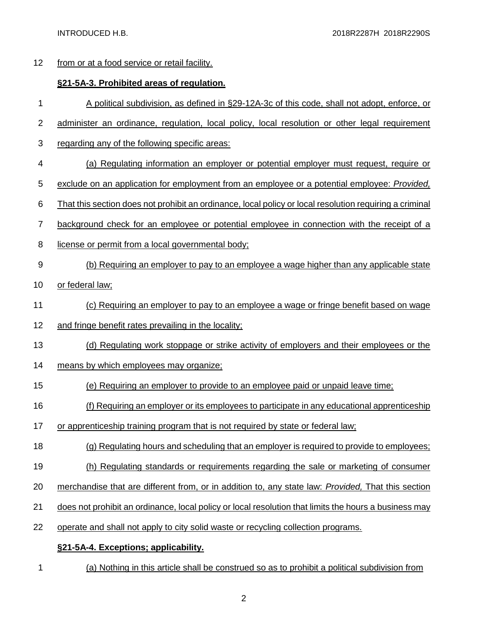### from or at a food service or retail facility.

### **§21-5A-3. Prohibited areas of regulation.**

- A political subdivision, as defined in §29-12A-3c of this code, shall not adopt, enforce, or
- administer an ordinance, regulation, local policy, local resolution or other legal requirement
- regarding any of the following specific areas:
- (a) Regulating information an employer or potential employer must request, require or
- exclude on an application for employment from an employee or a potential employee: *Provided,*
- That this section does not prohibit an ordinance, local policy or local resolution requiring a criminal
- background check for an employee or potential employee in connection with the receipt of a
- license or permit from a local governmental body;
- (b) Requiring an employer to pay to an employee a wage higher than any applicable state
- 10 or federal law;
- (c) Requiring an employer to pay to an employee a wage or fringe benefit based on wage
- and fringe benefit rates prevailing in the locality;
- (d) Regulating work stoppage or strike activity of employers and their employees or the
- means by which employees may organize;
- (e) Requiring an employer to provide to an employee paid or unpaid leave time;
- (f) Requiring an employer or its employees to participate in any educational apprenticeship
- or apprenticeship training program that is not required by state or federal law;
- (g) Regulating hours and scheduling that an employer is required to provide to employees;
- (h) Regulating standards or requirements regarding the sale or marketing of consumer
- merchandise that are different from, or in addition to, any state law: *Provided,* That this section
- does not prohibit an ordinance, local policy or local resolution that limits the hours a business may
- operate and shall not apply to city solid waste or recycling collection programs.

### **§21-5A-4. Exceptions; applicability.**

(a) Nothing in this article shall be construed so as to prohibit a political subdivision from